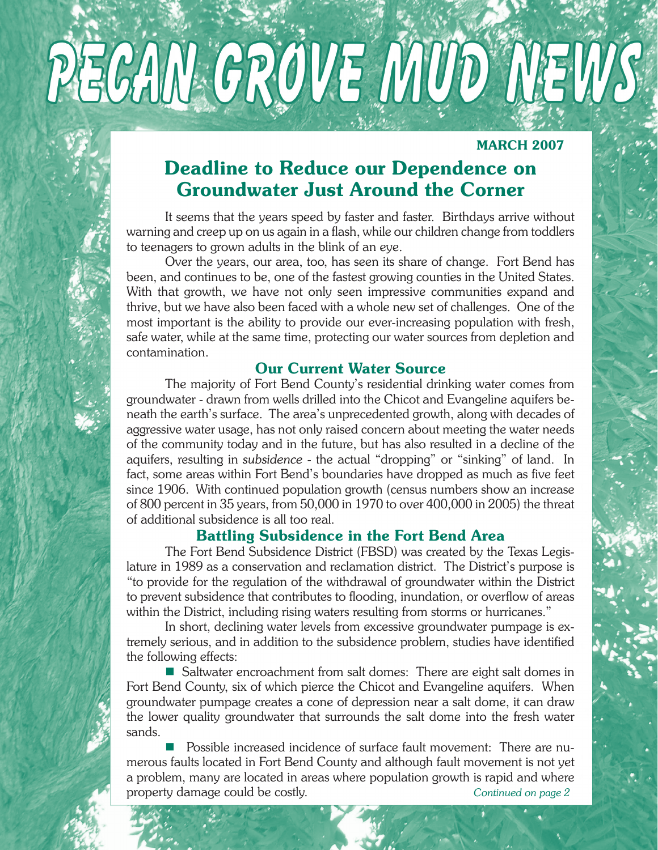# PECAN GROVE MUD NEWS

## **MARCH 2007**

# Deadline to Reduce our Dependence on Groundwater Just Around the Corner

 It seems that the years speed by faster and faster. Birthdays arrive without warning and creep up on us again in a flash, while our children change from toddlers to teenagers to grown adults in the blink of an eye.

 Over the years, our area, too, has seen its share of change. Fort Bend has been, and continues to be, one of the fastest growing counties in the United States. With that growth, we have not only seen impressive communities expand and thrive, but we have also been faced with a whole new set of challenges. One of the most important is the ability to provide our ever-increasing population with fresh, safe water, while at the same time, protecting our water sources from depletion and contamination.

## Our Current Water Source

 The majority of Fort Bend County's residential drinking water comes from groundwater - drawn from wells drilled into the Chicot and Evangeline aquifers beneath the earth's surface. The area's unprecedented growth, along with decades of aggressive water usage, has not only raised concern about meeting the water needs of the community today and in the future, but has also resulted in a decline of the aquifers, resulting in *subsidence* - the actual "dropping" or "sinking" of land. In fact, some areas within Fort Bend's boundaries have dropped as much as five feet since 1906. With continued population growth (census numbers show an increase of 800 percent in 35 years, from 50,000 in 1970 to over 400,000 in 2005) the threat of additional subsidence is all too real.

# Battling Subsidence in the Fort Bend Area

 The Fort Bend Subsidence District (FBSD) was created by the Texas Legislature in 1989 as a conservation and reclamation district. The District's purpose is "to provide for the regulation of the withdrawal of groundwater within the District to prevent subsidence that contributes to flooding, inundation, or overflow of areas within the District, including rising waters resulting from storms or hurricanes."

 In short, declining water levels from excessive groundwater pumpage is extremely serious, and in addition to the subsidence problem, studies have identified the following effects:

■ Saltwater encroachment from salt domes: There are eight salt domes in Fort Bend County, six of which pierce the Chicot and Evangeline aquifers. When groundwater pumpage creates a cone of depression near a salt dome, it can draw the lower quality groundwater that surrounds the salt dome into the fresh water sands.

 n Possible increased incidence of surface fault movement: There are numerous faults located in Fort Bend County and although fault movement is not yet a problem, many are located in areas where population growth is rapid and where property damage could be costly. *Continued on page 2*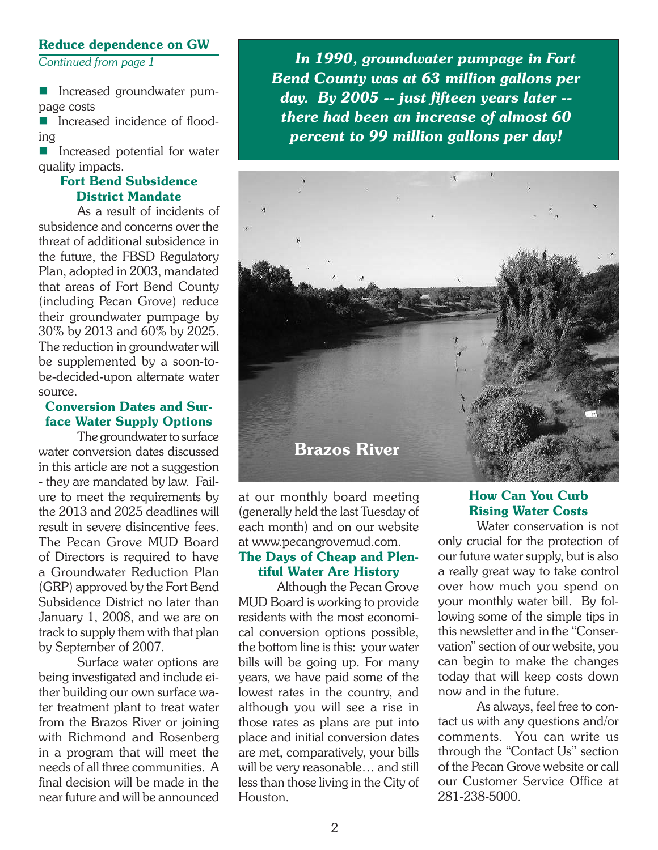#### Reduce dependence on GW

*Continued from page 1*

**n** Increased groundwater pumpage costs

 $\blacksquare$  Increased incidence of flooding

**n** Increased potential for water quality impacts.

#### Fort Bend Subsidence District Mandate

 As a result of incidents of subsidence and concerns over the threat of additional subsidence in the future, the FBSD Regulatory Plan, adopted in 2003, mandated that areas of Fort Bend County (including Pecan Grove) reduce their groundwater pumpage by 30% by 2013 and 60% by 2025. The reduction in groundwater will be supplemented by a soon-tobe-decided-upon alternate water source.

#### Conversion Dates and Surface Water Supply Options

The groundwater to surface water conversion dates discussed in this article are not a suggestion - they are mandated by law. Failure to meet the requirements by the 2013 and 2025 deadlines will result in severe disincentive fees. The Pecan Grove MUD Board of Directors is required to have a Groundwater Reduction Plan (GRP) approved by the Fort Bend Subsidence District no later than January 1, 2008, and we are on track to supply them with that plan by September of 2007.

 Surface water options are being investigated and include either building our own surface water treatment plant to treat water from the Brazos River or joining with Richmond and Rosenberg in a program that will meet the needs of all three communities. A final decision will be made in the near future and will be announced

 *In 1990, groundwater pumpage in Fort Bend County was at 63 million gallons per day. By 2005 -- just fifteen years later - there had been an increase of almost 60 percent to 99 million gallons per day!*



at our monthly board meeting (generally held the last Tuesday of each month) and on our website at www.pecangrovemud.com.

#### The Days of Cheap and Plentiful Water Are History

 Although the Pecan Grove MUD Board is working to provide residents with the most economical conversion options possible, the bottom line is this: your water bills will be going up. For many years, we have paid some of the lowest rates in the country, and although you will see a rise in those rates as plans are put into place and initial conversion dates are met, comparatively, your bills will be very reasonable… and still less than those living in the City of Houston.

## How Can You Curb Rising Water Costs

 Water conservation is not only crucial for the protection of our future water supply, but is also a really great way to take control over how much you spend on your monthly water bill. By following some of the simple tips in this newsletter and in the "Conservation" section of our website, you can begin to make the changes today that will keep costs down now and in the future.

 As always, feel free to contact us with any questions and/or comments. You can write us through the "Contact Us" section of the Pecan Grove website or call our Customer Service Office at 281-238-5000.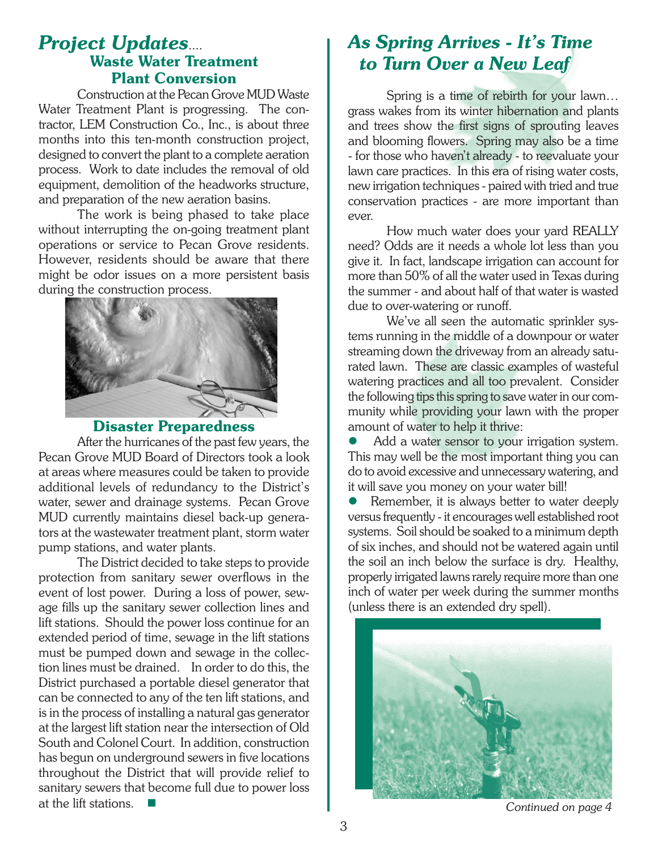# *Project Updates*.... Waste Water Treatment Plant Conversion

 Construction at the Pecan Grove MUD Waste Water Treatment Plant is progressing. The contractor, LEM Construction Co., Inc., is about three months into this ten-month construction project, designed to convert the plant to a complete aeration process. Work to date includes the removal of old equipment, demolition of the headworks structure, and preparation of the new aeration basins.

 The work is being phased to take place without interrupting the on-going treatment plant operations or service to Pecan Grove residents. However, residents should be aware that there might be odor issues on a more persistent basis during the construction process.



Disaster Preparedness

 After the hurricanes of the past few years, the Pecan Grove MUD Board of Directors took a look at areas where measures could be taken to provide additional levels of redundancy to the District's water, sewer and drainage systems. Pecan Grove MUD currently maintains diesel back-up generators at the wastewater treatment plant, storm water pump stations, and water plants.

 The District decided to take steps to provide protection from sanitary sewer overflows in the event of lost power. During a loss of power, sewage fills up the sanitary sewer collection lines and lift stations. Should the power loss continue for an extended period of time, sewage in the lift stations must be pumped down and sewage in the collection lines must be drained. In order to do this, the District purchased a portable diesel generator that can be connected to any of the ten lift stations, and is in the process of installing a natural gas generator at the largest lift station near the intersection of Old South and Colonel Court. In addition, construction has begun on underground sewers in five locations throughout the District that will provide relief to sanitary sewers that become full due to power loss at the lift stations.  $\blacksquare$ 

# *As Spring Arrives - It's Time to Turn Over a New Leaf*

 Spring is a time of rebirth for your lawn… grass wakes from its winter hibernation and plants and trees show the first signs of sprouting leaves and blooming flowers. Spring may also be a time - for those who haven't already - to reevaluate your lawn care practices. In this era of rising water costs, new irrigation techniques- paired with tried and true conservation practices - are more important than ever.

 How much water does your yard REALLY need? Odds are it needs a whole lot less than you give it. In fact, landscape irrigation can account for more than 50% of all the water used in Texas during the summer - and about half of that water is wasted due to over-watering or runoff.

 We've all seen the automatic sprinkler systems running in the middle of a downpour or water streaming down the driveway from an already saturated lawn. These are classic examples of wasteful watering practices and all too prevalent. Consider the following tips this spring to save water in our community while providing your lawn with the proper amount of water to help it thrive:

Add a water sensor to your irrigation system. This may well be the most important thing you can do to avoid excessive and unnecessary watering, and it will save you money on your water bill!

Remember, it is always better to water deeply versusfrequently - it encourages well established root systems. Soil should be soaked to a minimum depth of six inches, and should not be watered again until the soil an inch below the surface is dry. Healthy, properly irrigated lawns rarely require more than one inch of water per week during the summer months (unless there is an extended dry spell).



*Continued on page 4*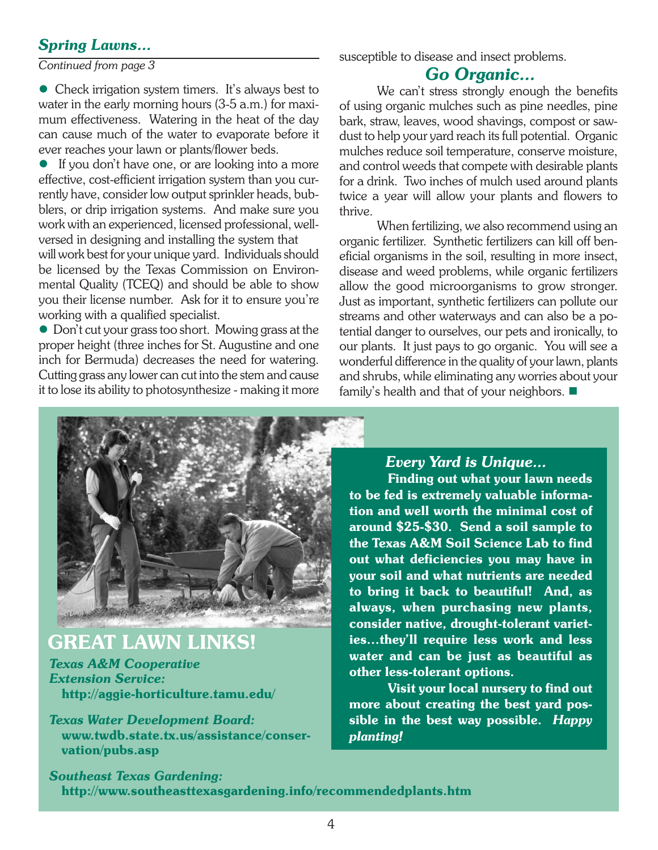## *Spring Lawns...*

*Continued from page 3*

• Check irrigation system timers. It's always best to water in the early morning hours (3-5 a.m.) for maximum effectiveness. Watering in the heat of the day can cause much of the water to evaporate before it ever reaches your lawn or plants/flower beds.

 $\bullet$  If you don't have one, or are looking into a more effective, cost-efficient irrigation system than you currently have, consider low output sprinkler heads, bubblers, or drip irrigation systems. And make sure you work with an experienced, licensed professional, wellversed in designing and installing the system that will work best for your unique yard. Individuals should be licensed by the Texas Commission on Environmental Quality (TCEQ) and should be able to show you their license number. Ask for it to ensure you're working with a qualified specialist.

• Don't cut your grass too short. Mowing grass at the proper height (three inches for St. Augustine and one inch for Bermuda) decreases the need for watering. Cutting grass any lower can cut into the stem and cause it to lose its ability to photosynthesize - making it more susceptible to disease and insect problems.

## *Go Organic...*

We can't stress strongly enough the benefits of using organic mulches such as pine needles, pine bark, straw, leaves, wood shavings, compost or sawdust to help your yard reach its full potential. Organic mulches reduce soil temperature, conserve moisture, and control weeds that compete with desirable plants for a drink. Two inches of mulch used around plants twice a year will allow your plants and flowers to thrive.

 When fertilizing, we also recommend using an organic fertilizer. Synthetic fertilizers can kill off beneficial organisms in the soil, resulting in more insect, disease and weed problems, while organic fertilizers allow the good microorganisms to grow stronger. Just as important, synthetic fertilizers can pollute our streams and other waterways and can also be a potential danger to ourselves, our pets and ironically, to our plants. It just pays to go organic. You will see a wonderful difference in the quality of your lawn, plants and shrubs, while eliminating any worries about your family's health and that of your neighbors.  $\blacksquare$ 



# GREAT LAWN LINKS!

*Texas A&M Cooperative Extension Service:* http://aggie-horticulture.tamu.edu/

*Texas Water Development Board:* www.twdb.state.tx.us/assistance/conser vation/pubs.asp

## *Every Yard is Unique...*

Finding out what your lawn needs to be fed is extremely valuable information and well worth the minimal cost of around \$25-\$30. Send a soil sample to the Texas A&M Soil Science Lab to find out what deficiencies you may have in your soil and what nutrients are needed to bring it back to beautiful! And, as always, when purchasing new plants, consider native, drought-tolerant varieties…they'll require less work and less water and can be just as beautiful as other less-tolerant options.

Visit your local nursery to find out more about creating the best yard possible in the best way possible. *Happy planting!*

*Southeast Texas Gardening:* http://www.southeasttexasgardening.info/recommendedplants.htm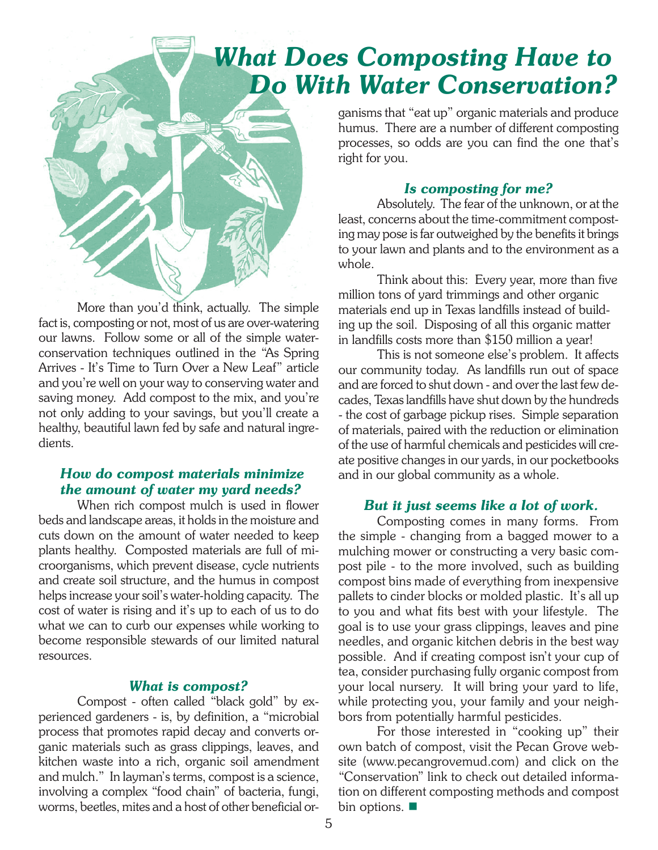# *What Does Composting Have to Do With Water Conservation?*



 More than you'd think, actually. The simple fact is, composting or not, most of us are over-watering our lawns. Follow some or all of the simple waterconservation techniques outlined in the "As Spring Arrives - It's Time to Turn Over a New Leaf" article and you're well on your way to conserving water and saving money. Add compost to the mix, and you're not only adding to your savings, but you'll create a healthy, beautiful lawn fed by safe and natural ingredients.

#### *How do compost materials minimize the amount of water my yard needs?*

 When rich compost mulch is used in flower beds and landscape areas, it holds in the moisture and cuts down on the amount of water needed to keep plants healthy. Composted materials are full of microorganisms, which prevent disease, cycle nutrients and create soil structure, and the humus in compost helps increase your soil's water-holding capacity. The cost of water is rising and it's up to each of us to do what we can to curb our expenses while working to become responsible stewards of our limited natural resources.

#### *What is compost?*

 Compost - often called "black gold" by experienced gardeners - is, by definition, a "microbial process that promotes rapid decay and converts organic materials such as grass clippings, leaves, and kitchen waste into a rich, organic soil amendment and mulch." In layman's terms, compost is a science, involving a complex "food chain" of bacteria, fungi, worms, beetles, mites and a host of other beneficial organisms that "eat up" organic materials and produce humus. There are a number of different composting processes, so odds are you can find the one that's right for you.

#### *Is composting for me?*

 Absolutely. The fear of the unknown, or at the least, concerns about the time-commitment composting may pose is far outweighed by the benefits it brings to your lawn and plants and to the environment as a whole.

Think about this: Every year, more than five million tons of yard trimmings and other organic materials end up in Texas landfills instead of building up the soil. Disposing of all this organic matter in landfills costs more than \$150 million a year!

 This is not someone else's problem. It affects our community today. As landfills run out of space and are forced to shut down - and over the last few decades, Texaslandfills have shut down by the hundreds - the cost of garbage pickup rises. Simple separation of materials, paired with the reduction or elimination of the use of harmful chemicals and pesticides will create positive changes in our yards, in our pocketbooks and in our global community as a whole.

#### *But it just seems like a lot of work.*

 Composting comes in many forms. From the simple - changing from a bagged mower to a mulching mower or constructing a very basic compost pile - to the more involved, such as building compost bins made of everything from inexpensive pallets to cinder blocks or molded plastic. It's all up to you and what fits best with your lifestyle. The goal is to use your grass clippings, leaves and pine needles, and organic kitchen debris in the best way possible. And if creating compost isn't your cup of tea, consider purchasing fully organic compost from your local nursery. It will bring your yard to life, while protecting you, your family and your neighbors from potentially harmful pesticides.

 For those interested in "cooking up" their own batch of compost, visit the Pecan Grove website (www.pecangrovemud.com) and click on the "Conservation" link to check out detailed information on different composting methods and compost bin options.  $\blacksquare$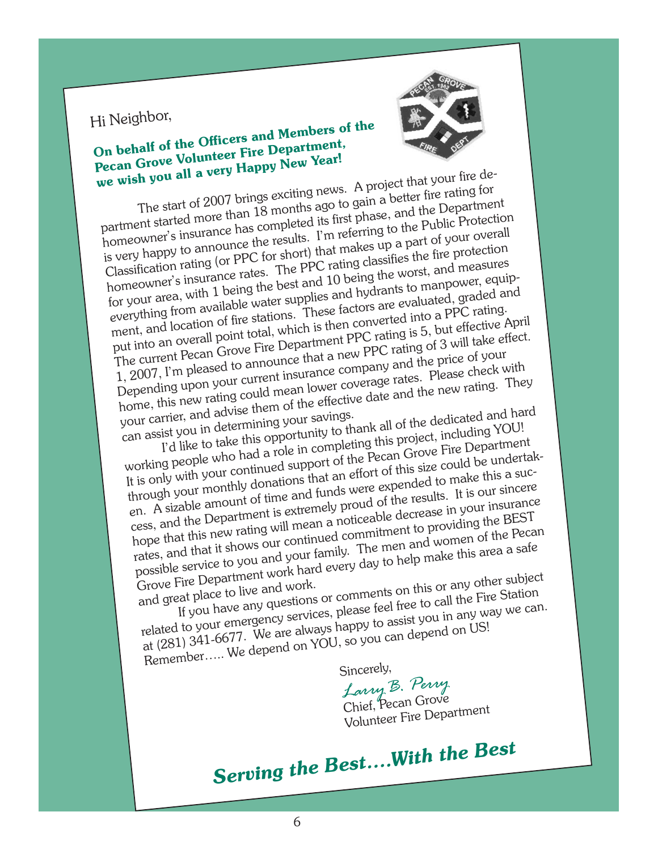# Hi Neighbor,

# On behalf of the Officers and Members of the Pecan Grove Volunteer Fire Department, we wish you all a very Happy New Year!



The start of 2007 brings exciting news. A project that your fire department started more than 18 months ago to gain a better fire rating for homeowner's insurance has completed its first phase, and the Department is very happy to announce the results. I'm referring to the Public Protection Classification rating (or PPC for short) that makes up a part of your overall homeowner's insurance rates. The PPC rating classifies the fire protection for your area, with 1 being the best and 10 being the worst, and measures everything from available water supplies and hydrants to manpower, equipment, and location of fire stations. These factors are evaluated, graded and put into an overall point total, which is then converted into a PPC rating. The current Pecan Grove Fire Department PPC rating is 5, but effective April 1, 2007, I'm pleased to announce that a new PPC rating of 3 will take effect. Depending upon your current insurance company and the price of your home, this new rating could mean lower coverage rates. Please check with your carrier, and advise them of the effective date and the new rating. They

can assist you in determining your savings. I'd like to take this opportunity to thank all of the dedicated and hard

working people who had a role in completing this project, including YOU! It is only with your continued support of the Pecan Grove Fire Department through your monthly donations that an effort of this size could be undertaken. A sizable amount of time and funds were expended to make this a success, and the Department is extremely proud of the results. It is our sincere hope that this new rating will mean a noticeable decrease in your insurance rates, and that it shows our continued commitment to providing the BEST possible service to you and your family. The men and women of the Pecan Grove Fire Department work hard every day to help make this area a safe

and great place to live and work. If you have any questions or comments on this or any other subject

related to your emergency services, please feel free to call the Fire Station at (281) 341-6677. We are always happy to assist you in any way we can. elated to your emergency.<br>at (281) 341-6677. We are always happy to assist y-<br>Remember..... We depend on YOU, so you can depend on US!

Sincerely,<br>*Larry Larry B. Perry* Volunteer Fire Department Volunteer Fire Department

*Serving the Best….With the Best*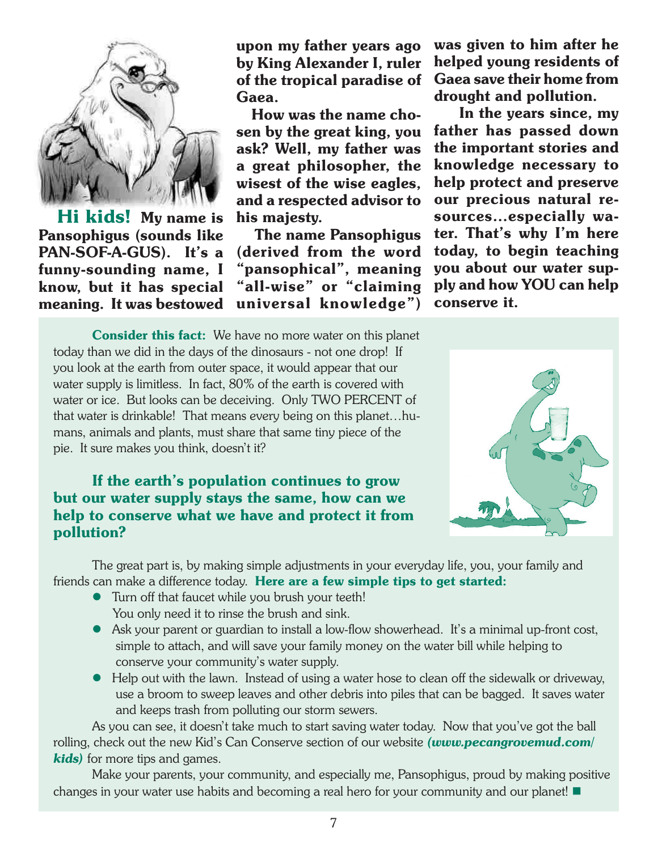

 Hi kids! My name is Pansophigus (sounds like PAN-SOF-A-GUS). It's a funny-sounding name, I know, but it has special meaning. It was bestowed

upon my father years ago by King Alexander I, ruler of the tropical paradise of Gaea.

 How was the name chosen by the great king, you ask? Well, my father was a great philosopher, the wisest of the wise eagles, and a respected advisor to his majesty.

 The name Pansophigus (derived from the word "pansophical", meaning "all-wise" or "claiming universal knowledge") was given to him after he helped young residents of Gaea save their home from drought and pollution.

 In the years since, my father has passed down the important stories and knowledge necessary to help protect and preserve our precious natural resources…especially water. That's why I'm here today, to begin teaching you about our water supply and how YOU can help conserve it.

Consider this fact: We have no more water on this planet today than we did in the days of the dinosaurs - not one drop! If you look at the earth from outer space, it would appear that our water supply is limitless. In fact, 80% of the earth is covered with water or ice. But looks can be deceiving. Only TWO PERCENT of that water is drinkable! That means every being on this planet…humans, animals and plants, must share that same tiny piece of the pie. It sure makes you think, doesn't it?

If the earth's population continues to grow but our water supply stays the same, how can we help to conserve what we have and protect it from pollution?



 The great part is, by making simple adjustments in your everyday life, you, your family and friends can make a difference today. Here are a few simple tips to get started:

- Turn off that faucet while you brush your teeth! You only need it to rinse the brush and sink.
- l Ask your parent or guardian to install a low-flow showerhead. It's a minimal up-front cost, simple to attach, and will save your family money on the water bill while helping to conserve your community's water supply.
- Help out with the lawn. Instead of using a water hose to clean off the sidewalk or driveway, use a broom to sweep leaves and other debris into piles that can be bagged. It saves water and keeps trash from polluting our storm sewers.

 As you can see, it doesn't take much to start saving water today. Now that you've got the ball rolling, check out the new Kid's Can Conserve section of our website *(www.pecangrovemud.com/ kids)* for more tips and games.

 Make your parents, your community, and especially me, Pansophigus, proud by making positive changes in your water use habits and becoming a real hero for your community and our planet!